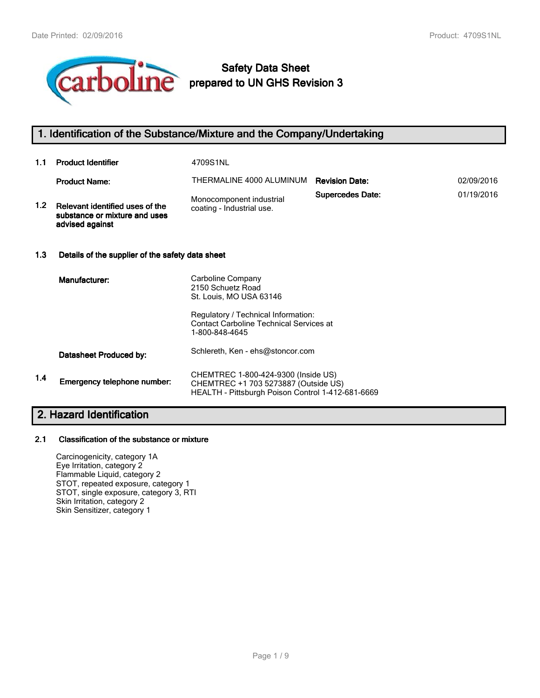

# **Safety Data Sheet prepared to UN GHS Revision 3**

## **1. Identification of the Substance/Mixture and the Company/Undertaking**

| 1.1              | <b>Product Identifier</b>                                                           | 4709S1NL                                                                                                |                         |            |  |  |
|------------------|-------------------------------------------------------------------------------------|---------------------------------------------------------------------------------------------------------|-------------------------|------------|--|--|
|                  | <b>Product Name:</b>                                                                | THERMALINE 4000 ALUMINUM                                                                                | <b>Revision Date:</b>   | 02/09/2016 |  |  |
| 1.2 <sub>1</sub> | Relevant identified uses of the<br>substance or mixture and uses<br>advised against | Monocomponent industrial<br>coating - Industrial use.                                                   | <b>Supercedes Date:</b> | 01/19/2016 |  |  |
| 1.3              | Details of the supplier of the safety data sheet                                    |                                                                                                         |                         |            |  |  |
|                  | Manufacturer:                                                                       | Carboline Company<br>2150 Schuetz Road<br>St. Louis, MO USA 63146                                       |                         |            |  |  |
|                  |                                                                                     | Regulatory / Technical Information:<br><b>Contact Carboline Technical Services at</b><br>1-800-848-4645 |                         |            |  |  |
|                  | Datasheet Produced by:                                                              | Schlereth, Ken - ehs@stoncor.com                                                                        |                         |            |  |  |
| 1.4              | Emergency telephone number:                                                         | CHEMTREC 1-800-424-9300 (Inside US)<br>CHEMTREC +1 703 5273887 (Outside US)                             |                         |            |  |  |

HEALTH - Pittsburgh Poison Control 1-412-681-6669

# **2. Hazard Identification**

#### **2.1 Classification of the substance or mixture**

Carcinogenicity, category 1A Eye Irritation, category 2 Flammable Liquid, category 2 STOT, repeated exposure, category 1 STOT, single exposure, category 3, RTI Skin Irritation, category 2 Skin Sensitizer, category 1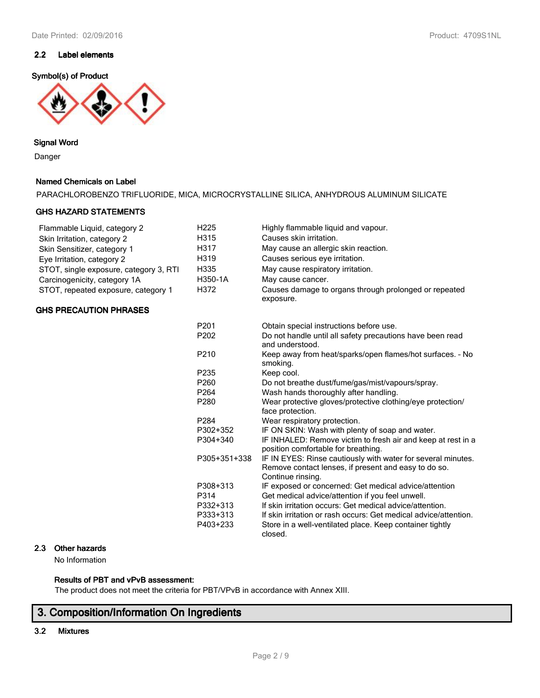## **2.2 Label elements**

#### **Symbol(s) of Product**



## **Signal Word**

Danger

## **Named Chemicals on Label**

| PARACHLOROBENZO TRIFLUORIDE, MICA, MICROCRYSTALLINE SILICA, ANHYDROUS ALUMINUM SILICATE |  |  |
|-----------------------------------------------------------------------------------------|--|--|
|-----------------------------------------------------------------------------------------|--|--|

#### **GHS HAZARD STATEMENTS**

| Flammable Liquid, category 2           | H <sub>225</sub> | Highly flammable liquid and vapour.                                                                                                       |
|----------------------------------------|------------------|-------------------------------------------------------------------------------------------------------------------------------------------|
| Skin Irritation, category 2            | H315             | Causes skin irritation.                                                                                                                   |
| Skin Sensitizer, category 1            | H317             | May cause an allergic skin reaction.                                                                                                      |
| Eye Irritation, category 2             | H319             | Causes serious eye irritation.                                                                                                            |
| STOT, single exposure, category 3, RTI | H335             | May cause respiratory irritation.                                                                                                         |
| Carcinogenicity, category 1A           | H350-1A          | May cause cancer.                                                                                                                         |
| STOT, repeated exposure, category 1    | H372             | Causes damage to organs through prolonged or repeated<br>exposure.                                                                        |
| <b>GHS PRECAUTION PHRASES</b>          |                  |                                                                                                                                           |
|                                        | P <sub>201</sub> | Obtain special instructions before use.                                                                                                   |
|                                        | P202             | Do not handle until all safety precautions have been read<br>and understood.                                                              |
|                                        | P <sub>210</sub> | Keep away from heat/sparks/open flames/hot surfaces. - No<br>smoking.                                                                     |
|                                        | P235             | Keep cool.                                                                                                                                |
|                                        | P <sub>260</sub> | Do not breathe dust/fume/gas/mist/vapours/spray.                                                                                          |
|                                        | P <sub>264</sub> | Wash hands thoroughly after handling.                                                                                                     |
|                                        | P280             | Wear protective gloves/protective clothing/eye protection/<br>face protection.                                                            |
|                                        | P <sub>284</sub> | Wear respiratory protection.                                                                                                              |
|                                        | P302+352         | IF ON SKIN: Wash with plenty of soap and water.                                                                                           |
|                                        | P304+340         | IF INHALED: Remove victim to fresh air and keep at rest in a<br>position comfortable for breathing.                                       |
|                                        | P305+351+338     | IF IN EYES: Rinse cautiously with water for several minutes.<br>Remove contact lenses, if present and easy to do so.<br>Continue rinsing. |
|                                        | P308+313         | IF exposed or concerned: Get medical advice/attention                                                                                     |
|                                        | P314             | Get medical advice/attention if you feel unwell.                                                                                          |
|                                        | P332+313         | If skin irritation occurs: Get medical advice/attention.                                                                                  |
|                                        | P333+313         | If skin irritation or rash occurs: Get medical advice/attention.                                                                          |
|                                        | P403+233         | Store in a well-ventilated place. Keep container tightly<br>closed.                                                                       |

## **2.3 Other hazards**

No Information

## **Results of PBT and vPvB assessment:**

The product does not meet the criteria for PBT/VPvB in accordance with Annex XIII.

# **3. Composition/Information On Ingredients**

## **3.2 Mixtures**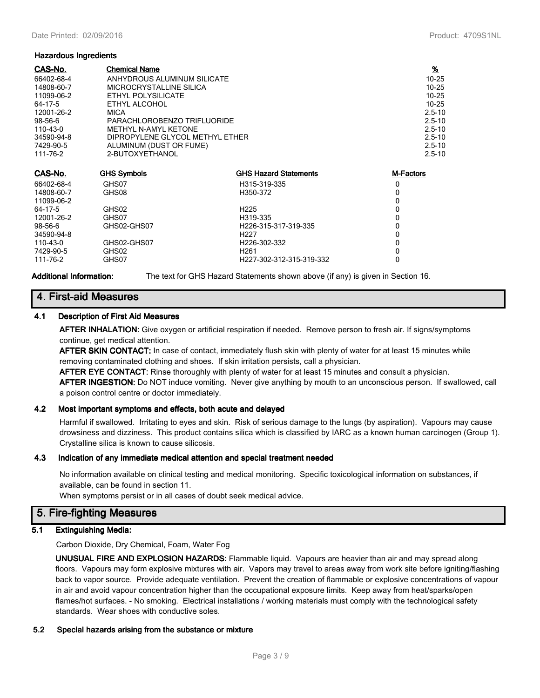#### **Hazardous Ingredients**

| <b>Chemical Name</b>        |                              | $\frac{9}{6}$                                                  |
|-----------------------------|------------------------------|----------------------------------------------------------------|
| ANHYDROUS ALUMINUM SILICATE |                              | $10 - 25$                                                      |
| MICROCRYSTALLINE SILICA     |                              | $10 - 25$                                                      |
| ETHYL POLYSILICATE          |                              | $10 - 25$                                                      |
| ETHYL ALCOHOL               |                              | $10 - 25$                                                      |
| <b>MICA</b>                 |                              | $2.5 - 10$                                                     |
|                             |                              | $2.5 - 10$                                                     |
| <b>METHYL N-AMYL KETONE</b> |                              | $2.5 - 10$                                                     |
|                             |                              | $2.5 - 10$                                                     |
| ALUMINUM (DUST OR FUME)     |                              | $2.5 - 10$                                                     |
| 2-BUTOXYETHANOL             |                              | $2.5 - 10$                                                     |
|                             |                              |                                                                |
| <b>GHS Symbols</b>          | <b>GHS Hazard Statements</b> | M-Factors                                                      |
| GHS07                       | H315-319-335                 | 0                                                              |
| GHS08                       | H350-372                     | 0                                                              |
|                             |                              | 0                                                              |
| GHS02                       | H <sub>225</sub>             | 0                                                              |
| GHS07                       | H319-335                     | 0                                                              |
| GHS02-GHS07                 | H226-315-317-319-335         | 0                                                              |
|                             | H <sub>227</sub>             | 0                                                              |
| GHS02-GHS07                 | H226-302-332                 | 0                                                              |
| GHS02                       | H <sub>261</sub>             | 0                                                              |
| GHS07                       | H227-302-312-315-319-332     | 0                                                              |
|                             |                              | PARACHLOROBENZO TRIFLUORIDE<br>DIPROPYLENE GLYCOL METHYL ETHER |

**Additional Information:** The text for GHS Hazard Statements shown above (if any) is given in Section 16.

## **4. First-aid Measures**

#### **4.1 Description of First Aid Measures**

**AFTER INHALATION:** Give oxygen or artificial respiration if needed. Remove person to fresh air. If signs/symptoms continue, get medical attention.

**AFTER SKIN CONTACT:** In case of contact, immediately flush skin with plenty of water for at least 15 minutes while removing contaminated clothing and shoes. If skin irritation persists, call a physician.

**AFTER EYE CONTACT:** Rinse thoroughly with plenty of water for at least 15 minutes and consult a physician.

**AFTER INGESTION:** Do NOT induce vomiting. Never give anything by mouth to an unconscious person. If swallowed, call a poison control centre or doctor immediately.

#### **4.2 Most important symptoms and effects, both acute and delayed**

Harmful if swallowed. Irritating to eyes and skin. Risk of serious damage to the lungs (by aspiration). Vapours may cause drowsiness and dizziness. This product contains silica which is classified by IARC as a known human carcinogen (Group 1). Crystalline silica is known to cause silicosis.

#### **4.3 Indication of any immediate medical attention and special treatment needed**

No information available on clinical testing and medical monitoring. Specific toxicological information on substances, if available, can be found in section 11.

When symptoms persist or in all cases of doubt seek medical advice.

## **5. Fire-fighting Measures**

#### **5.1 Extinguishing Media:**

Carbon Dioxide, Dry Chemical, Foam, Water Fog

**UNUSUAL FIRE AND EXPLOSION HAZARDS:** Flammable liquid. Vapours are heavier than air and may spread along floors. Vapours may form explosive mixtures with air. Vapors may travel to areas away from work site before igniting/flashing back to vapor source. Provide adequate ventilation. Prevent the creation of flammable or explosive concentrations of vapour in air and avoid vapour concentration higher than the occupational exposure limits. Keep away from heat/sparks/open flames/hot surfaces. - No smoking. Electrical installations / working materials must comply with the technological safety standards. Wear shoes with conductive soles.

#### **5.2 Special hazards arising from the substance or mixture**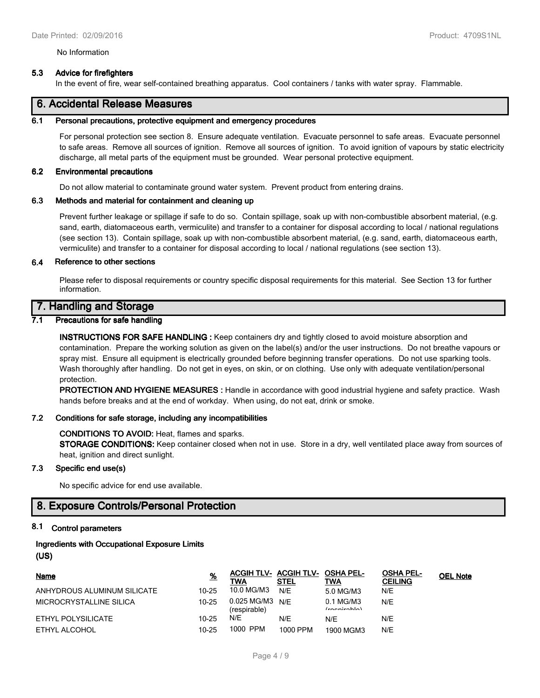#### No Information

#### **5.3 Advice for firefighters**

In the event of fire, wear self-contained breathing apparatus. Cool containers / tanks with water spray. Flammable.

## **6. Accidental Release Measures**

#### **6.1 Personal precautions, protective equipment and emergency procedures**

For personal protection see section 8. Ensure adequate ventilation. Evacuate personnel to safe areas. Evacuate personnel to safe areas. Remove all sources of ignition. Remove all sources of ignition. To avoid ignition of vapours by static electricity discharge, all metal parts of the equipment must be grounded. Wear personal protective equipment.

#### **6.2 Environmental precautions**

Do not allow material to contaminate ground water system. Prevent product from entering drains.

#### **6.3 Methods and material for containment and cleaning up**

Prevent further leakage or spillage if safe to do so. Contain spillage, soak up with non-combustible absorbent material, (e.g. sand, earth, diatomaceous earth, vermiculite) and transfer to a container for disposal according to local / national regulations (see section 13). Contain spillage, soak up with non-combustible absorbent material, (e.g. sand, earth, diatomaceous earth, vermiculite) and transfer to a container for disposal according to local / national regulations (see section 13).

#### **6.4 Reference to other sections**

Please refer to disposal requirements or country specific disposal requirements for this material. See Section 13 for further information.

## **7. Handling and Storage**

#### **7.1 Precautions for safe handling**

**INSTRUCTIONS FOR SAFE HANDLING :** Keep containers dry and tightly closed to avoid moisture absorption and contamination. Prepare the working solution as given on the label(s) and/or the user instructions. Do not breathe vapours or spray mist. Ensure all equipment is electrically grounded before beginning transfer operations. Do not use sparking tools. Wash thoroughly after handling. Do not get in eyes, on skin, or on clothing. Use only with adequate ventilation/personal protection.

**PROTECTION AND HYGIENE MEASURES :** Handle in accordance with good industrial hygiene and safety practice. Wash hands before breaks and at the end of workday. When using, do not eat, drink or smoke.

#### **7.2 Conditions for safe storage, including any incompatibilities**

#### **CONDITIONS TO AVOID:** Heat, flames and sparks.

**STORAGE CONDITIONS:** Keep container closed when not in use. Store in a dry, well ventilated place away from sources of heat, ignition and direct sunlight.

#### **7.3 Specific end use(s)**

No specific advice for end use available.

## **8. Exposure Controls/Personal Protection**

## **8.1 Control parameters**

# **Ingredients with Occupational Exposure Limits**

# **(US)**

| Name                        | <u>%</u>  | ACGIH TLV- ACGIH TLV- OSHA PEL-<br>TWA | <b>STEL</b> | TWA                       | <b>OSHA PEL-</b><br><b>CEILING</b> | <b>OEL Note</b> |
|-----------------------------|-----------|----------------------------------------|-------------|---------------------------|------------------------------------|-----------------|
| ANHYDROUS ALUMINUM SILICATE | $10 - 25$ | 10.0 MG/M3                             | N/E         | 5.0 MG/M3                 | N/E                                |                 |
| MICROCRYSTALLINE SILICA     | $10 - 25$ | 0.025 MG/M3<br>(respirable)            | N/F         | $0.1$ MG/M3<br>(constant) | N/E                                |                 |
| ETHYL POLYSILICATE          | $10 - 25$ | N/E                                    | N/E         | N/E                       | N/E                                |                 |
| ETHYL ALCOHOL               | 10-25     | 1000 PPM                               | 1000 PPM    | 1900 MGM3                 | N/E                                |                 |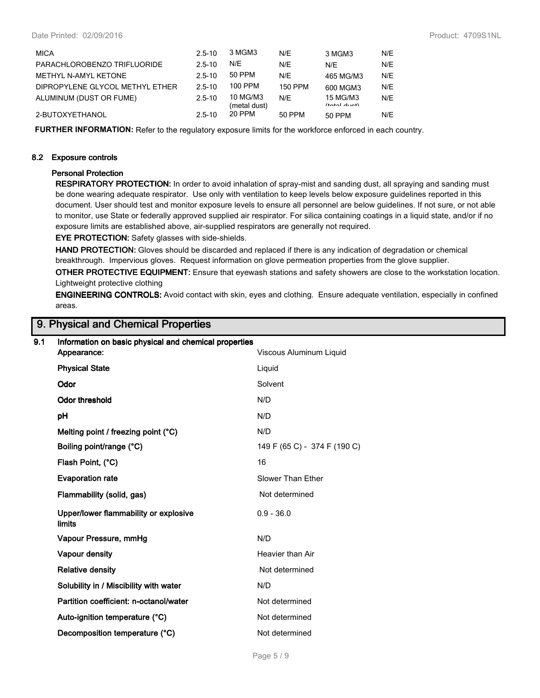| <b>MICA</b>                     | $2.5 - 10$ | 3 MGM3                   | N/E            | 3 MGM3                     | N/E |
|---------------------------------|------------|--------------------------|----------------|----------------------------|-----|
| PARACHLOROBENZO TRIFLUORIDE     | $2.5 - 10$ | N/E                      | N/E            | N/F                        | N/E |
| METHYL N-AMYL KETONE            | $2.5 - 10$ | 50 PPM                   | N/F            | 465 MG/M3                  | N/E |
| DIPROPYLENE GLYCOL METHYL ETHER | $2.5 - 10$ | 100 PPM                  | <b>150 PPM</b> | 600 MGM3                   | N/E |
| ALUMINUM (DUST OR FUME)         | $2.5 - 10$ | 10 MG/M3<br>(metal dust) | N/F            | 15 MG/M3<br>$(40+1)$ dunt) | N/E |
| 2-BUTOXYETHANOL                 | $2.5 - 10$ | 20 PPM                   | 50 PPM         | 50 PPM                     | N/E |

**FURTHER INFORMATION:** Refer to the regulatory exposure limits for the workforce enforced in each country.

#### **8.2 Exposure controls**

#### **Personal Protection**

**RESPIRATORY PROTECTION:** In order to avoid inhalation of spray-mist and sanding dust, all spraying and sanding must be done wearing adequate respirator. Use only with ventilation to keep levels below exposure guidelines reported in this document. User should test and monitor exposure levels to ensure all personnel are below guidelines. If not sure, or not able to monitor, use State or federally approved supplied air respirator. For silica containing coatings in a liquid state, and/or if no exposure limits are established above, air-supplied respirators are generally not required.

**EYE PROTECTION:** Safety glasses with side-shields.

**HAND PROTECTION:** Gloves should be discarded and replaced if there is any indication of degradation or chemical breakthrough. Impervious gloves. Request information on glove permeation properties from the glove supplier.

**OTHER PROTECTIVE EQUIPMENT:** Ensure that eyewash stations and safety showers are close to the workstation location. Lightweight protective clothing

**ENGINEERING CONTROLS:** Avoid contact with skin, eyes and clothing. Ensure adequate ventilation, especially in confined areas.

## **9. Physical and Chemical Properties**

| Information on basic physical and chemical properties  |                              |  |  |  |
|--------------------------------------------------------|------------------------------|--|--|--|
|                                                        | Viscous Aluminum Liquid      |  |  |  |
| <b>Physical State</b>                                  | Liquid                       |  |  |  |
| Odor                                                   | Solvent                      |  |  |  |
| <b>Odor threshold</b>                                  | N/D                          |  |  |  |
| рH                                                     | N/D                          |  |  |  |
| Melting point / freezing point (°C)                    | N/D                          |  |  |  |
| Boiling point/range (°C)                               | 149 F (65 C) - 374 F (190 C) |  |  |  |
| Flash Point, (°C)                                      | 16                           |  |  |  |
| <b>Evaporation rate</b>                                | Slower Than Ether            |  |  |  |
| Flammability (solid, gas)                              | Not determined               |  |  |  |
| Upper/lower flammability or explosive<br><b>limits</b> | $0.9 - 36.0$                 |  |  |  |
| Vapour Pressure, mmHg                                  | N/D                          |  |  |  |
| <b>Vapour density</b>                                  | Heavier than Air             |  |  |  |
| <b>Relative density</b>                                | Not determined               |  |  |  |
| Solubility in / Miscibility with water                 | N/D                          |  |  |  |
| Partition coefficient: n-octanol/water                 | Not determined               |  |  |  |
| Auto-ignition temperature (°C)                         | Not determined               |  |  |  |
| Decomposition temperature (°C)                         | Not determined               |  |  |  |
|                                                        | Appearance:                  |  |  |  |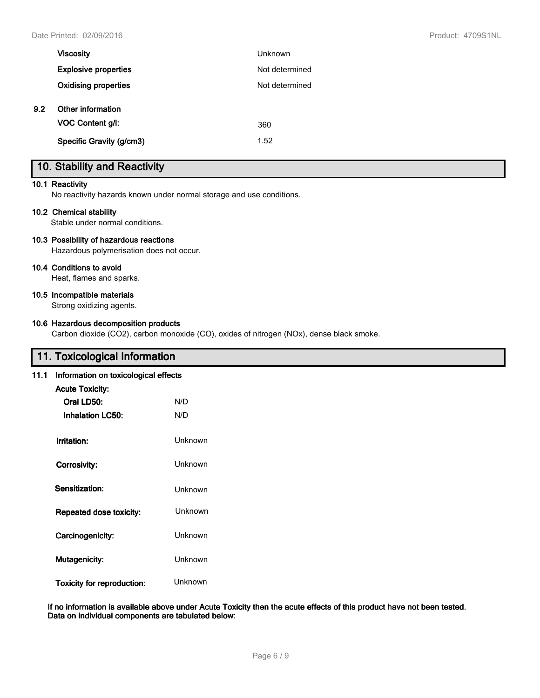|     | <b>Viscosity</b>            | <b>Unknown</b> |
|-----|-----------------------------|----------------|
|     | <b>Explosive properties</b> | Not determined |
|     | <b>Oxidising properties</b> | Not determined |
| 9.2 | Other information           |                |
|     | VOC Content g/l:            | 360            |
|     | Specific Gravity (g/cm3)    | 1.52           |

# **10. Stability and Reactivity**

#### **10.1 Reactivity**

No reactivity hazards known under normal storage and use conditions.

#### **10.2 Chemical stability**

Stable under normal conditions.

#### **10.3 Possibility of hazardous reactions**

Hazardous polymerisation does not occur.

#### **10.4 Conditions to avoid**

Heat, flames and sparks.

#### **10.5 Incompatible materials**

Strong oxidizing agents.

#### **10.6 Hazardous decomposition products**

Carbon dioxide (CO2), carbon monoxide (CO), oxides of nitrogen (NOx), dense black smoke.

## **11. Toxicological Information**

#### **11.1 Information on toxicological effects**

| <b>Acute Toxicity:</b><br>Oral LD50:<br>Inhalation LC50: | N/D<br>N/D     |
|----------------------------------------------------------|----------------|
| Irritation:                                              | Unknown        |
| Corrosivity:                                             | <b>Unknown</b> |
| Sensitization:                                           | Unknown        |
| Repeated dose toxicity:                                  | Unknown        |
| Carcinogenicity:                                         | Unknown        |
| <b>Mutagenicity:</b>                                     | Unknown        |
| <b>Toxicity for reproduction:</b>                        | Unknown        |

**If no information is available above under Acute Toxicity then the acute effects of this product have not been tested. Data on individual components are tabulated below:**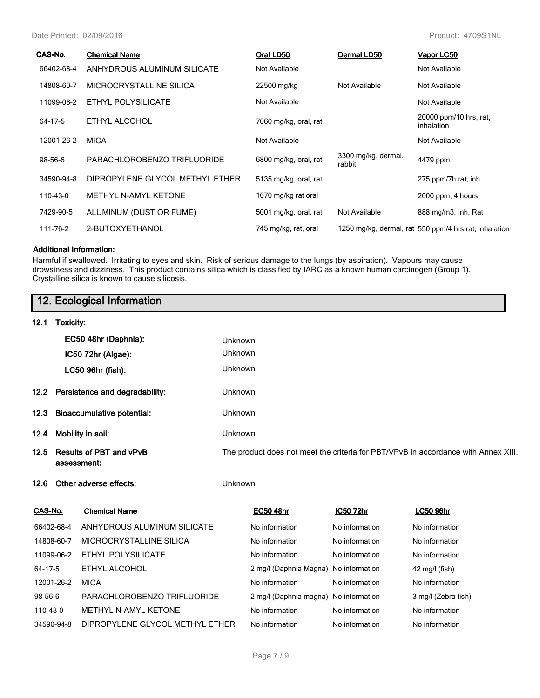Date Printed: 02/09/2016 Product: 4709S1NL

| CAS-No.    | <b>Chemical Name</b>            | Oral LD50             | Dermal LD50                   | Vapor LC50                                            |
|------------|---------------------------------|-----------------------|-------------------------------|-------------------------------------------------------|
| 66402-68-4 | ANHYDROUS ALUMINUM SILICATE     | Not Available         |                               | Not Available                                         |
| 14808-60-7 | MICROCRYSTALLINE SILICA         | 22500 mg/kg           | Not Available                 | Not Available                                         |
| 11099-06-2 | ETHYL POLYSILICATE              | Not Available         |                               | Not Available                                         |
| 64-17-5    | ETHYL ALCOHOL                   | 7060 mg/kg, oral, rat |                               | 20000 ppm/10 hrs, rat,<br>inhalation                  |
| 12001-26-2 | <b>MICA</b>                     | Not Available         |                               | Not Available                                         |
| 98-56-6    | PARACHLOROBENZO TRIFLUORIDE     | 6800 mg/kg, oral, rat | 3300 mg/kg, dermal,<br>rabbit | 4479 ppm                                              |
| 34590-94-8 | DIPROPYLENE GLYCOL METHYL ETHER | 5135 mg/kg, oral, rat |                               | 275 ppm/7h rat, inh                                   |
| 110-43-0   | METHYL N-AMYL KETONE            | 1670 mg/kg rat oral   |                               | 2000 ppm, 4 hours                                     |
| 7429-90-5  | ALUMINUM (DUST OR FUME)         | 5001 mg/kg, oral, rat | Not Available                 | 888 mg/m3, Inh, Rat                                   |
| 111-76-2   | 2-BUTOXYETHANOL                 | 745 mg/kg, rat, oral  |                               | 1250 mg/kg, dermal, rat 550 ppm/4 hrs rat, inhalation |

#### **Additional Information:**

Harmful if swallowed. Irritating to eyes and skin. Risk of serious damage to the lungs (by aspiration). Vapours may cause drowsiness and dizziness. This product contains silica which is classified by IARC as a known human carcinogen (Group 1). Crystalline silica is known to cause silicosis.

|                   |                                               | 12. Ecological Information        |                                                                                    |                        |                |                     |  |
|-------------------|-----------------------------------------------|-----------------------------------|------------------------------------------------------------------------------------|------------------------|----------------|---------------------|--|
| 12.1              | Toxicity:                                     |                                   |                                                                                    |                        |                |                     |  |
|                   |                                               | EC50 48hr (Daphnia):              | Unknown                                                                            |                        |                |                     |  |
|                   |                                               | IC50 72hr (Algae):                | Unknown                                                                            |                        |                |                     |  |
|                   |                                               | LC50 96hr (fish):                 | Unknown                                                                            |                        |                |                     |  |
| 12.2 <sub>2</sub> |                                               | Persistence and degradability:    | Unknown                                                                            |                        |                |                     |  |
| 12.3              |                                               | <b>Bioaccumulative potential:</b> | Unknown                                                                            |                        |                |                     |  |
| 12.4              |                                               | Mobility in soil:                 | Unknown                                                                            |                        |                |                     |  |
| 12.5              | <b>Results of PBT and vPvB</b><br>assessment: |                                   | The product does not meet the criteria for PBT/VPvB in accordance with Annex XIII. |                        |                |                     |  |
| 12.6              |                                               | Other adverse effects:            | Unknown                                                                            |                        |                |                     |  |
| CAS-No.           |                                               | <b>Chemical Name</b>              |                                                                                    | <b>EC50 48hr</b>       | IC50 72hr      | <b>LC50 96hr</b>    |  |
|                   | 66402-68-4                                    | ANHYDROUS ALUMINUM SILICATE       |                                                                                    | No information         | No information | No information      |  |
|                   | 14808-60-7                                    | MICROCRYSTALLINE SILICA           |                                                                                    | No information         | No information | No information      |  |
|                   | 11099-06-2                                    | <b>ETHYL POLYSILICATE</b>         |                                                                                    | No information         | No information | No information      |  |
| 64-17-5           |                                               | ETHYL ALCOHOL                     |                                                                                    | 2 mg/l (Daphnia Magna) | No information | $42$ mg/l (fish)    |  |
|                   | 12001-26-2                                    | <b>MICA</b>                       |                                                                                    | No information         | No information | No information      |  |
| 98-56-6           |                                               | PARACHLOROBENZO TRIFLUORIDE       |                                                                                    | 2 mg/l (Daphnia magna) | No information | 3 mg/l (Zebra fish) |  |
| 110-43-0          |                                               | METHYL N-AMYL KETONE              |                                                                                    | No information         | No information | No information      |  |
|                   | 34590-94-8                                    | DIPROPYLENE GLYCOL METHYL ETHER   |                                                                                    | No information         | No information | No information      |  |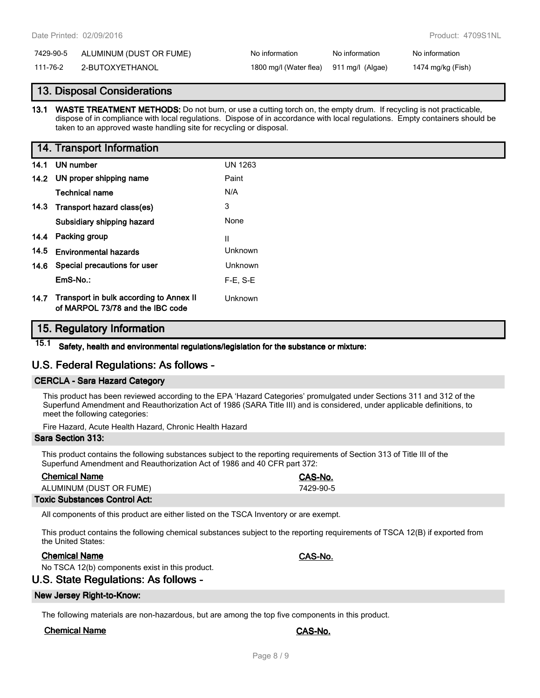#### 7429-90-5 ALUMINUM (DUST OR FUME) No information No information No information

111-76-2 2-BUTOXYETHANOL 1800 mg/l (Water flea) 911 mg/l (Algae) 1474 mg/kg (Fish)

## **13. Disposal Considerations**

**13.1 WASTE TREATMENT METHODS:** Do not burn, or use a cutting torch on, the empty drum. If recycling is not practicable, dispose of in compliance with local regulations. Dispose of in accordance with local regulations. Empty containers should be taken to an approved waste handling site for recycling or disposal.

## **14. Transport Information**

| 14.1 | UN number                                                                   | <b>UN 1263</b> |
|------|-----------------------------------------------------------------------------|----------------|
|      | 14.2 UN proper shipping name                                                | Paint          |
|      | Technical name                                                              | N/A            |
| 14.3 | Transport hazard class(es)                                                  | 3              |
|      | Subsidiary shipping hazard                                                  | None           |
| 14.4 | Packing group                                                               | Ш              |
| 14.5 | <b>Environmental hazards</b>                                                | Unknown        |
| 14.6 | Special precautions for user                                                | Unknown        |
|      | EmS-No.:                                                                    | $F-E$ , S-E    |
| 14.7 | Transport in bulk according to Annex II<br>of MARPOL 73/78 and the IBC code | Unknown        |

## **15. Regulatory Information**

**15.1 Safety, health and environmental regulations/legislation for the substance or mixture:**

## **U.S. Federal Regulations: As follows -**

## **CERCLA - Sara Hazard Category**

This product has been reviewed according to the EPA 'Hazard Categories' promulgated under Sections 311 and 312 of the Superfund Amendment and Reauthorization Act of 1986 (SARA Title III) and is considered, under applicable definitions, to meet the following categories:

Fire Hazard, Acute Health Hazard, Chronic Health Hazard

#### **Sara Section 313:**

This product contains the following substances subject to the reporting requirements of Section 313 of Title III of the Superfund Amendment and Reauthorization Act of 1986 and 40 CFR part 372:

| <b>Chemical Name</b>    | CAS-No.   |
|-------------------------|-----------|
| ALUMINUM (DUST OR FUME) | 7429-90-5 |
|                         |           |

#### **Toxic Substances Control Act:**

All components of this product are either listed on the TSCA Inventory or are exempt.

This product contains the following chemical substances subject to the reporting requirements of TSCA 12(B) if exported from the United States:

## **Chemical Name CAS-No.**

No TSCA 12(b) components exist in this product.

## **U.S. State Regulations: As follows -**

#### **New Jersey Right-to-Know:**

The following materials are non-hazardous, but are among the top five components in this product.

## **Chemical Name CAS-No.**